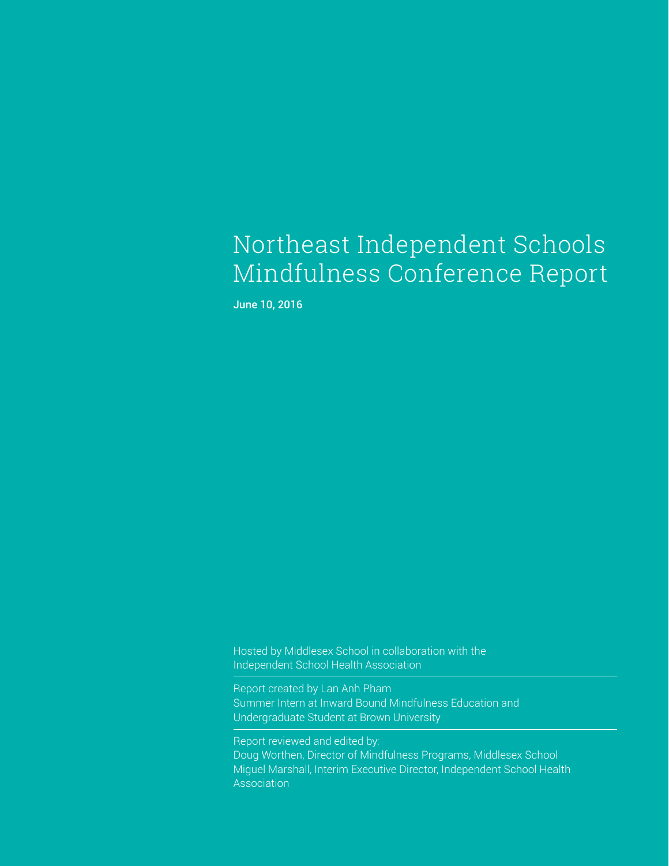# Northeast Independent Schools Mindfulness Conference Report

June 10, 2016

Hosted by Middlesex School in collaboration with the Independent School Health Association

Report created by Lan Anh Pham Summer Intern at Inward Bound Mindfulness Education and Undergraduate Student at Brown University

Report reviewed and edited by: Doug Worthen, Director of Mindfulness Programs, Middlesex School Miguel Marshall, Interim Executive Director, Independent School Health **Association**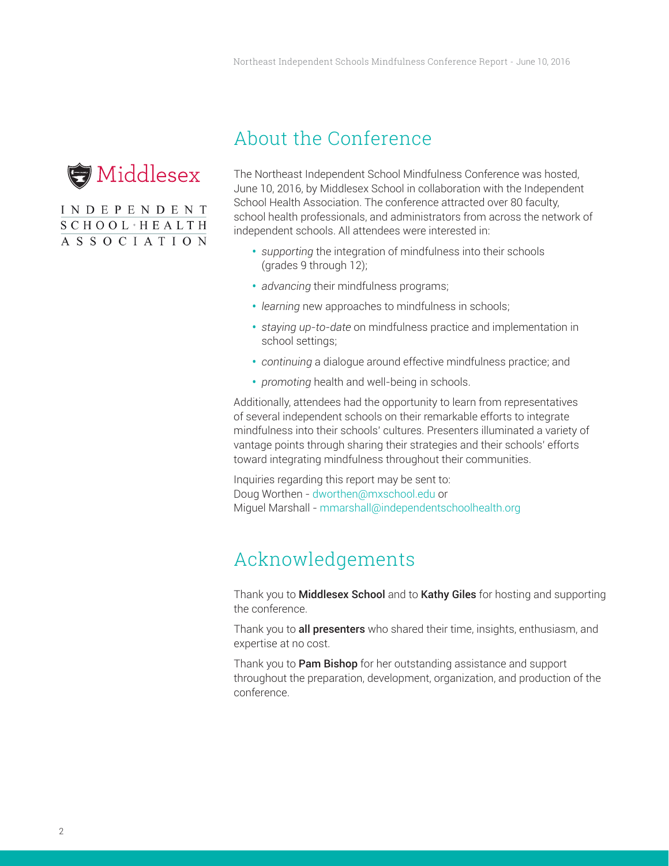

### INDEPENDENT  $SCHOOL HEALTH$ ASSOCIATION

## About the Conference

The Northeast Independent School Mindfulness Conference was hosted, June 10, 2016, by Middlesex School in collaboration with the Independent School Health Association. The conference attracted over 80 faculty, school health professionals, and administrators from across the network of independent schools. All attendees were interested in:

- **•** *supporting* the integration of mindfulness into their schools (grades 9 through 12);
- **•** *advancing* their mindfulness programs;
- **•** *learning* new approaches to mindfulness in schools;
- **•** *staying up-to-date* on mindfulness practice and implementation in school settings;
- **•** *continuing* a dialogue around effective mindfulness practice; and
- **•** *promoting* health and well-being in schools.

Additionally, attendees had the opportunity to learn from representatives of several independent schools on their remarkable efforts to integrate mindfulness into their schools' cultures. Presenters illuminated a variety of vantage points through sharing their strategies and their schools' efforts toward integrating mindfulness throughout their communities.

Inquiries regarding this report may be sent to: Doug Worthen - dworthen@mxschool.edu or Miguel Marshall - mmarshall@independentschoolhealth.org

## Acknowledgements

Thank you to **Middlesex School** and to **Kathy Giles** for hosting and supporting the conference.

Thank you to all presenters who shared their time, insights, enthusiasm, and expertise at no cost.

Thank you to **Pam Bishop** for her outstanding assistance and support throughout the preparation, development, organization, and production of the conference.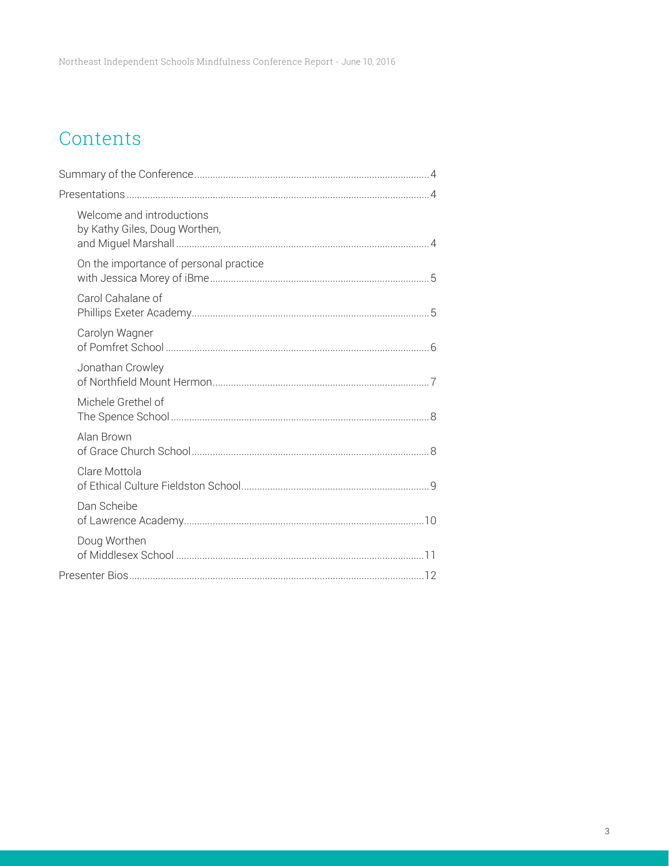# Contents

| Welcome and introductions<br>by Kathy Giles, Doug Worthen, |  |  |
|------------------------------------------------------------|--|--|
| On the importance of personal practice                     |  |  |
| Carol Cahalane of                                          |  |  |
| Carolyn Wagner                                             |  |  |
| Jonathan Crowley                                           |  |  |
| Michele Grethel of                                         |  |  |
| Alan Brown                                                 |  |  |
| Clare Mottola                                              |  |  |
| Dan Scheibe                                                |  |  |
| Doug Worthen                                               |  |  |
|                                                            |  |  |
|                                                            |  |  |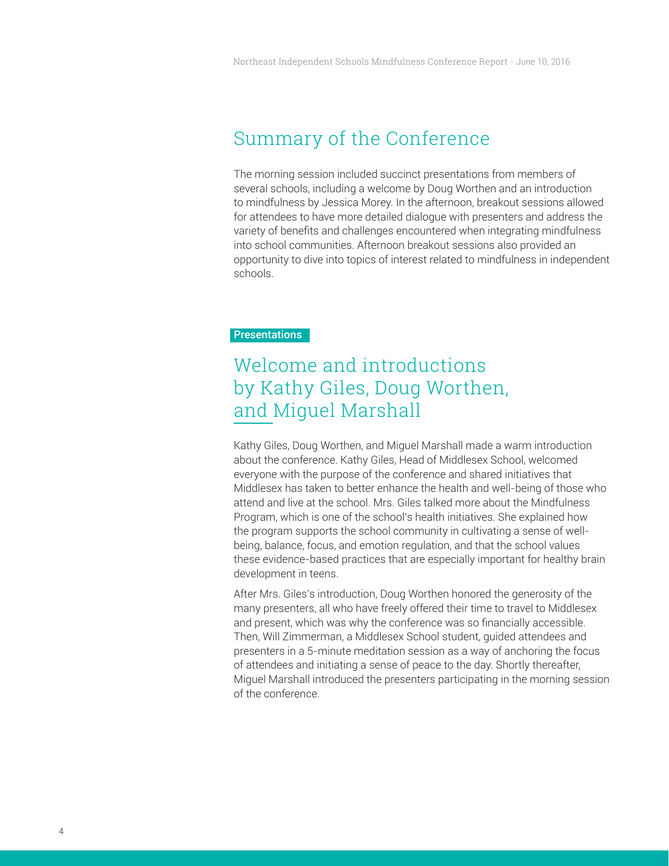### <span id="page-3-0"></span>Summary of the Conference

The morning session included succinct presentations from members of several schools, including a welcome by Doug Worthen and an introduction to mindfulness by Jessica Morey. In the afternoon, breakout sessions allowed for attendees to have more detailed dialogue with presenters and address the variety of benefits and challenges encountered when integrating mindfulness into school communities. Afternoon breakout sessions also provided an opportunity to dive into topics of interest related to mindfulness in independent schools.

#### **Presentations**

### Welcome and introductions by Kathy Giles, Doug Worthen, and Miguel Marshall

Kathy Giles, Doug Worthen, and Miguel Marshall made a warm introduction about the conference. Kathy Giles, Head of Middlesex School, welcomed everyone with the purpose of the conference and shared initiatives that Middlesex has taken to better enhance the health and well-being of those who attend and live at the school. Mrs. Giles talked more about the Mindfulness Program, which is one of the school's health initiatives. She explained how the program supports the school community in cultivating a sense of wellbeing, balance, focus, and emotion regulation, and that the school values these evidence-based practices that are especially important for healthy brain development in teens.

After Mrs. Giles's introduction, Doug Worthen honored the generosity of the many presenters, all who have freely offered their time to travel to Middlesex and present, which was why the conference was so financially accessible. Then, Will Zimmerman, a Middlesex School student, guided attendees and presenters in a 5-minute meditation session as a way of anchoring the focus of attendees and initiating a sense of peace to the day. Shortly thereafter, Miguel Marshall introduced the presenters participating in the morning session of the conference.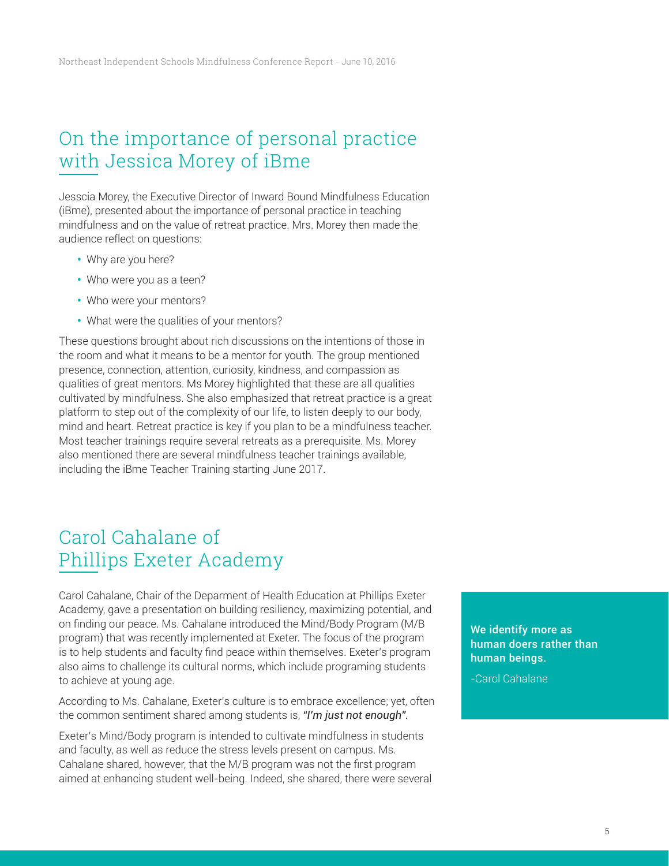## <span id="page-4-0"></span>On the importance of personal practice with Jessica Morey of iBme

Jesscia Morey, the Executive Director of Inward Bound Mindfulness Education (iBme), presented about the importance of personal practice in teaching mindfulness and on the value of retreat practice. Mrs. Morey then made the audience reflect on questions:

- **•** Why are you here?
- **•** Who were you as a teen?
- **•** Who were your mentors?
- **•** What were the qualities of your mentors?

These questions brought about rich discussions on the intentions of those in the room and what it means to be a mentor for youth. The group mentioned presence, connection, attention, curiosity, kindness, and compassion as qualities of great mentors. Ms Morey highlighted that these are all qualities cultivated by mindfulness. She also emphasized that retreat practice is a great platform to step out of the complexity of our life, to listen deeply to our body, mind and heart. Retreat practice is key if you plan to be a mindfulness teacher. Most teacher trainings require several retreats as a prerequisite. Ms. Morey also mentioned there are several mindfulness teacher trainings available, including the iBme Teacher Training starting June 2017.

## Carol Cahalane of Phillips Exeter Academy

Carol Cahalane, Chair of the Deparment of Health Education at Phillips Exeter Academy, gave a presentation on building resiliency, maximizing potential, and on finding our peace. Ms. Cahalane introduced the Mind/Body Program (M/B program) that was recently implemented at Exeter. The focus of the program is to help students and faculty find peace within themselves. Exeter's program also aims to challenge its cultural norms, which include programing students to achieve at young age.

According to Ms. Cahalane, Exeter's culture is to embrace excellence; yet, often the common sentiment shared among students is, *"I'm just not enough".*

Exeter's Mind/Body program is intended to cultivate mindfulness in students and faculty, as well as reduce the stress levels present on campus. Ms. Cahalane shared, however, that the M/B program was not the first program aimed at enhancing student well-being. Indeed, she shared, there were several We identify more as human doers rather than human beings.

-Carol Cahalane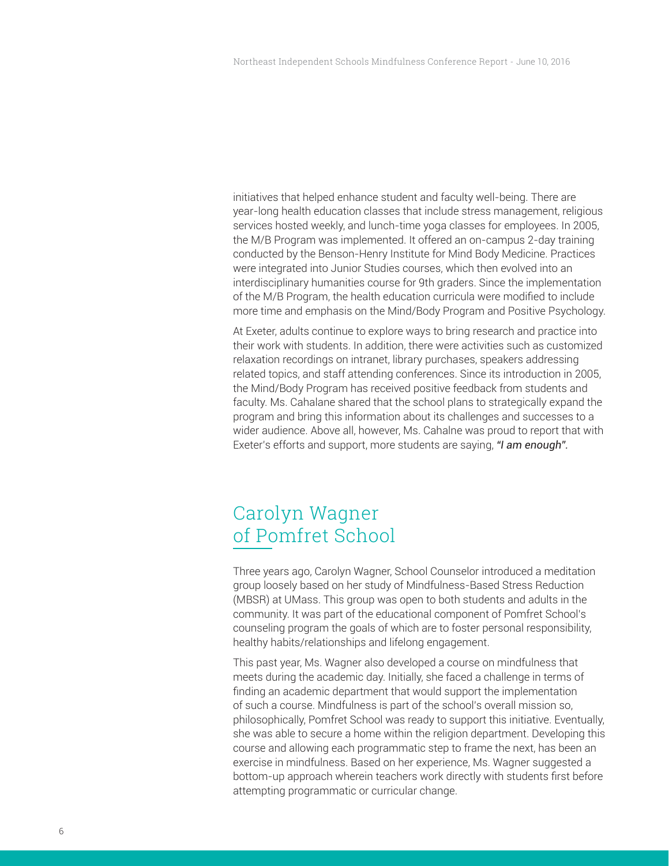<span id="page-5-0"></span>initiatives that helped enhance student and faculty well-being. There are year-long health education classes that include stress management, religious services hosted weekly, and lunch-time yoga classes for employees. In 2005, the M/B Program was implemented. It offered an on-campus 2-day training conducted by the Benson-Henry Institute for Mind Body Medicine. Practices were integrated into Junior Studies courses, which then evolved into an interdisciplinary humanities course for 9th graders. Since the implementation of the M/B Program, the health education curricula were modified to include more time and emphasis on the Mind/Body Program and Positive Psychology.

At Exeter, adults continue to explore ways to bring research and practice into their work with students. In addition, there were activities such as customized relaxation recordings on intranet, library purchases, speakers addressing related topics, and staff attending conferences. Since its introduction in 2005, the Mind/Body Program has received positive feedback from students and faculty. Ms. Cahalane shared that the school plans to strategically expand the program and bring this information about its challenges and successes to a wider audience. Above all, however, Ms. Cahalne was proud to report that with Exeter's efforts and support, more students are saying, *"I am enough".*

### Carolyn Wagner of Pomfret School

Three years ago, Carolyn Wagner, School Counselor introduced a meditation group loosely based on her study of Mindfulness-Based Stress Reduction (MBSR) at UMass. This group was open to both students and adults in the community. It was part of the educational component of Pomfret School's counseling program the goals of which are to foster personal responsibility, healthy habits/relationships and lifelong engagement.

This past year, Ms. Wagner also developed a course on mindfulness that meets during the academic day. Initially, she faced a challenge in terms of finding an academic department that would support the implementation of such a course. Mindfulness is part of the school's overall mission so, philosophically, Pomfret School was ready to support this initiative. Eventually, she was able to secure a home within the religion department. Developing this course and allowing each programmatic step to frame the next, has been an exercise in mindfulness. Based on her experience, Ms. Wagner suggested a bottom-up approach wherein teachers work directly with students first before attempting programmatic or curricular change.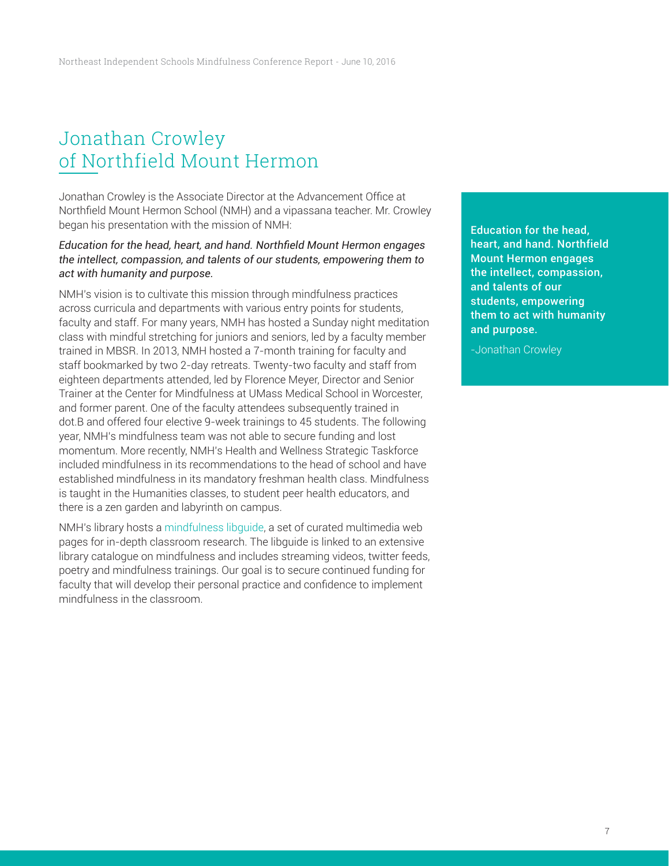## <span id="page-6-0"></span>Jonathan Crowley of Northfield Mount Hermon

Jonathan Crowley is the Associate Director at the Advancement Office at Northfield Mount Hermon School (NMH) and a vipassana teacher. Mr. Crowley began his presentation with the mission of NMH:

#### *Education for the head, heart, and hand. Northfield Mount Hermon engages the intellect, compassion, and talents of our students, empowering them to act with humanity and purpose.*

NMH's vision is to cultivate this mission through mindfulness practices across curricula and departments with various entry points for students, faculty and staff. For many years, NMH has hosted a Sunday night meditation class with mindful stretching for juniors and seniors, led by a faculty member trained in MBSR. In 2013, NMH hosted a 7-month training for faculty and staff bookmarked by two 2-day retreats. Twenty-two faculty and staff from eighteen departments attended, led by Florence Meyer, Director and Senior Trainer at the Center for Mindfulness at UMass Medical School in Worcester, and former parent. One of the faculty attendees subsequently trained in dot.B and offered four elective 9-week trainings to 45 students. The following year, NMH's mindfulness team was not able to secure funding and lost momentum. More recently, NMH's Health and Wellness Strategic Taskforce included mindfulness in its recommendations to the head of school and have established mindfulness in its mandatory freshman health class. Mindfulness is taught in the Humanities classes, to student peer health educators, and there is a zen garden and labyrinth on campus.

NMH's library hosts a [mindfulness libguide,](http://libguides.nmhschool.org/mindfulness) a set of curated multimedia web pages for in-depth classroom research. The libguide is linked to an extensive library catalogue on mindfulness and includes streaming videos, twitter feeds, poetry and mindfulness trainings. Our goal is to secure continued funding for faculty that will develop their personal practice and confidence to implement mindfulness in the classroom.

Education for the head, heart, and hand. Northfield Mount Hermon engages the intellect, compassion, and talents of our students, empowering them to act with humanity and purpose.

-Jonathan Crowley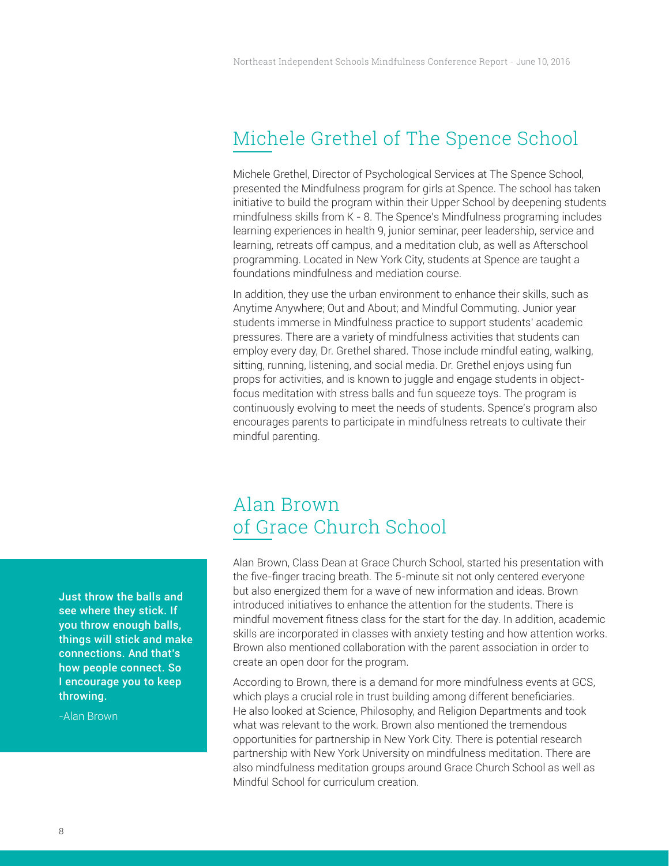## <span id="page-7-0"></span>Michele Grethel of The Spence School

Michele Grethel, Director of Psychological Services at The Spence School, presented the Mindfulness program for girls at Spence. The school has taken initiative to build the program within their Upper School by deepening students mindfulness skills from K - 8. The Spence's Mindfulness programing includes learning experiences in health 9, junior seminar, peer leadership, service and learning, retreats off campus, and a meditation club, as well as Afterschool programming. Located in New York City, students at Spence are taught a foundations mindfulness and mediation course.

In addition, they use the urban environment to enhance their skills, such as Anytime Anywhere; Out and About; and Mindful Commuting. Junior year students immerse in Mindfulness practice to support students' academic pressures. There are a variety of mindfulness activities that students can employ every day, Dr. Grethel shared. Those include mindful eating, walking, sitting, running, listening, and social media. Dr. Grethel enjoys using fun props for activities, and is known to juggle and engage students in objectfocus meditation with stress balls and fun squeeze toys. The program is continuously evolving to meet the needs of students. Spence's program also encourages parents to participate in mindfulness retreats to cultivate their mindful parenting.

### Alan Brown of Grace Church School

Alan Brown, Class Dean at Grace Church School, started his presentation with the five-finger tracing breath. The 5-minute sit not only centered everyone but also energized them for a wave of new information and ideas. Brown introduced initiatives to enhance the attention for the students. There is mindful movement fitness class for the start for the day. In addition, academic skills are incorporated in classes with anxiety testing and how attention works. Brown also mentioned collaboration with the parent association in order to create an open door for the program.

According to Brown, there is a demand for more mindfulness events at GCS, which plays a crucial role in trust building among different beneficiaries. He also looked at Science, Philosophy, and Religion Departments and took what was relevant to the work. Brown also mentioned the tremendous opportunities for partnership in New York City. There is potential research partnership with New York University on mindfulness meditation. There are also mindfulness meditation groups around Grace Church School as well as Mindful School for curriculum creation.

Just throw the balls and see where they stick. If you throw enough balls, things will stick and make connections. And that's how people connect. So I encourage you to keep throwing.

-Alan Brown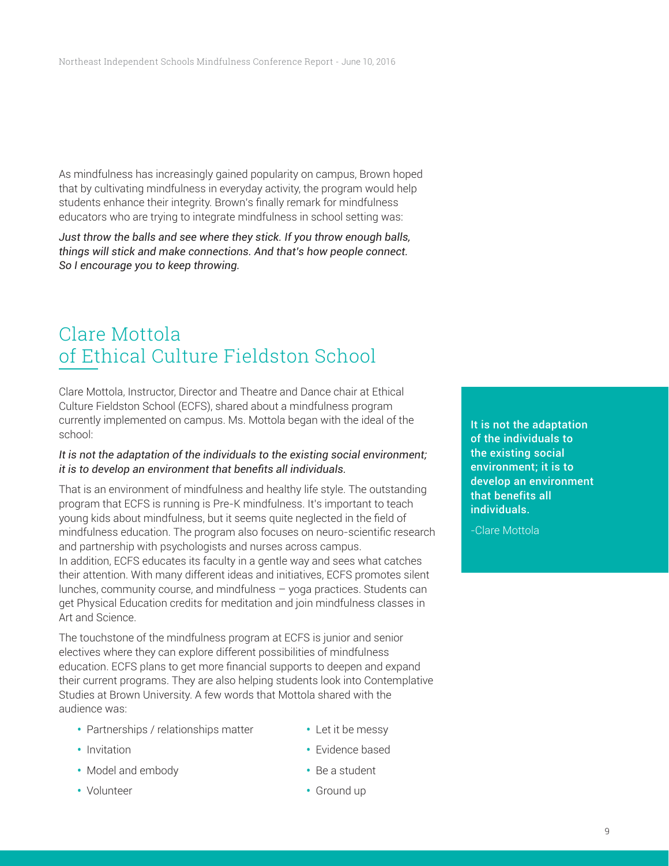<span id="page-8-0"></span>As mindfulness has increasingly gained popularity on campus, Brown hoped that by cultivating mindfulness in everyday activity, the program would help students enhance their integrity. Brown's finally remark for mindfulness educators who are trying to integrate mindfulness in school setting was:

*Just throw the balls and see where they stick. If you throw enough balls, things will stick and make connections. And that's how people connect. So I encourage you to keep throwing.*

## Clare Mottola of Ethical Culture Fieldston School

Clare Mottola, Instructor, Director and Theatre and Dance chair at Ethical Culture Fieldston School (ECFS), shared about a mindfulness program currently implemented on campus. Ms. Mottola began with the ideal of the school:

#### *It is not the adaptation of the individuals to the existing social environment; it is to develop an environment that benefits all individuals.*

That is an environment of mindfulness and healthy life style. The outstanding program that ECFS is running is Pre-K mindfulness. It's important to teach young kids about mindfulness, but it seems quite neglected in the field of mindfulness education. The program also focuses on neuro-scientific research and partnership with psychologists and nurses across campus. In addition, ECFS educates its faculty in a gentle way and sees what catches their attention. With many different ideas and initiatives, ECFS promotes silent lunches, community course, and mindfulness – yoga practices. Students can get Physical Education credits for meditation and join mindfulness classes in Art and Science.

The touchstone of the mindfulness program at ECFS is junior and senior electives where they can explore different possibilities of mindfulness education. ECFS plans to get more financial supports to deepen and expand their current programs. They are also helping students look into Contemplative Studies at Brown University. A few words that Mottola shared with the audience was:

- **•** Partnerships / relationships matter
- **•** Invitation
- **•** Model and embody
- **•** Volunteer

It is not the adaptation of the individuals to the existing social environment; it is to develop an environment that benefits all individuals.

-Clare Mottola

**•** Evidence based **•** Be a student

**•** Let it be messy

- 
- **•** Ground up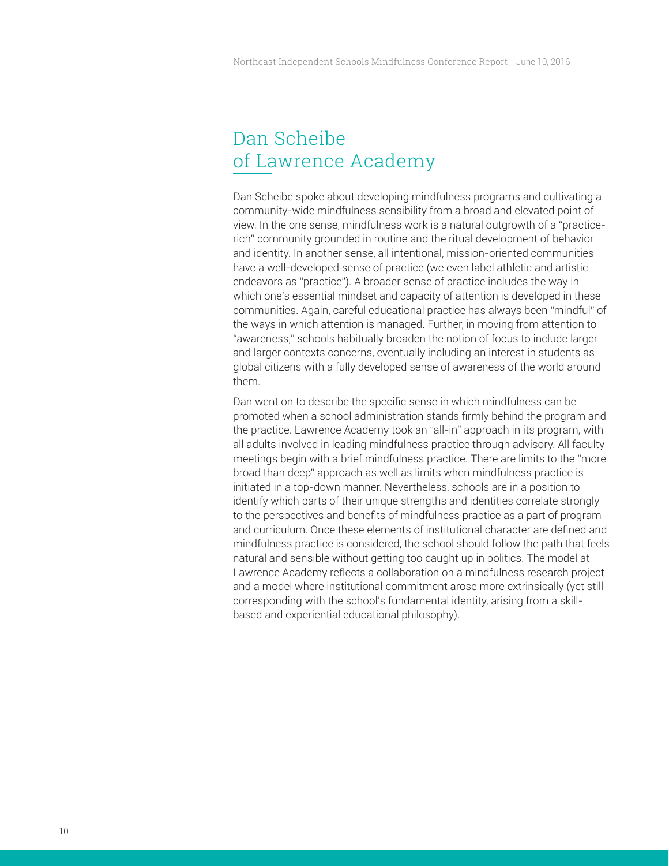## <span id="page-9-0"></span>Dan Scheibe of Lawrence Academy

Dan Scheibe spoke about developing mindfulness programs and cultivating a community-wide mindfulness sensibility from a broad and elevated point of view. In the one sense, mindfulness work is a natural outgrowth of a "practicerich" community grounded in routine and the ritual development of behavior and identity. In another sense, all intentional, mission-oriented communities have a well-developed sense of practice (we even label athletic and artistic endeavors as "practice"). A broader sense of practice includes the way in which one's essential mindset and capacity of attention is developed in these communities. Again, careful educational practice has always been "mindful" of the ways in which attention is managed. Further, in moving from attention to "awareness," schools habitually broaden the notion of focus to include larger and larger contexts concerns, eventually including an interest in students as global citizens with a fully developed sense of awareness of the world around them.

Dan went on to describe the specific sense in which mindfulness can be promoted when a school administration stands firmly behind the program and the practice. Lawrence Academy took an "all-in" approach in its program, with all adults involved in leading mindfulness practice through advisory. All faculty meetings begin with a brief mindfulness practice. There are limits to the "more broad than deep" approach as well as limits when mindfulness practice is initiated in a top-down manner. Nevertheless, schools are in a position to identify which parts of their unique strengths and identities correlate strongly to the perspectives and benefits of mindfulness practice as a part of program and curriculum. Once these elements of institutional character are defined and mindfulness practice is considered, the school should follow the path that feels natural and sensible without getting too caught up in politics. The model at Lawrence Academy reflects a collaboration on a mindfulness research project and a model where institutional commitment arose more extrinsically (yet still corresponding with the school's fundamental identity, arising from a skillbased and experiential educational philosophy).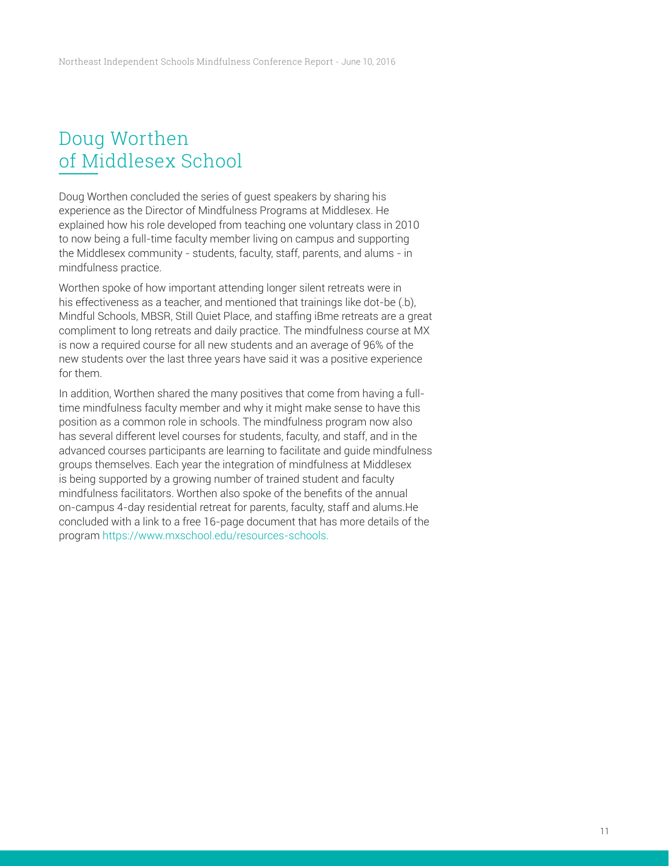## <span id="page-10-0"></span>Doug Worthen of Middlesex School

Doug Worthen concluded the series of guest speakers by sharing his experience as the Director of Mindfulness Programs at Middlesex. He explained how his role developed from teaching one voluntary class in 2010 to now being a full-time faculty member living on campus and supporting the Middlesex community - students, faculty, staff, parents, and alums - in mindfulness practice.

Worthen spoke of how important attending longer silent retreats were in his effectiveness as a teacher, and mentioned that trainings like dot-be (.b), Mindful Schools, MBSR, Still Quiet Place, and staffing iBme retreats are a great compliment to long retreats and daily practice. The mindfulness course at MX is now a required course for all new students and an average of 96% of the new students over the last three years have said it was a positive experience for them.

In addition, Worthen shared the many positives that come from having a fulltime mindfulness faculty member and why it might make sense to have this position as a common role in schools. The mindfulness program now also has several different level courses for students, faculty, and staff, and in the advanced courses participants are learning to facilitate and guide mindfulness groups themselves. Each year the integration of mindfulness at Middlesex is being supported by a growing number of trained student and faculty mindfulness facilitators. Worthen also spoke of the benefits of the annual on-campus 4-day residential retreat for parents, faculty, staff and alums.He concluded with a link to a free 16-page document that has more details of the program [https://www.mxschool.edu/resources-schools.](https://www.mxschool.edu/resources-schools)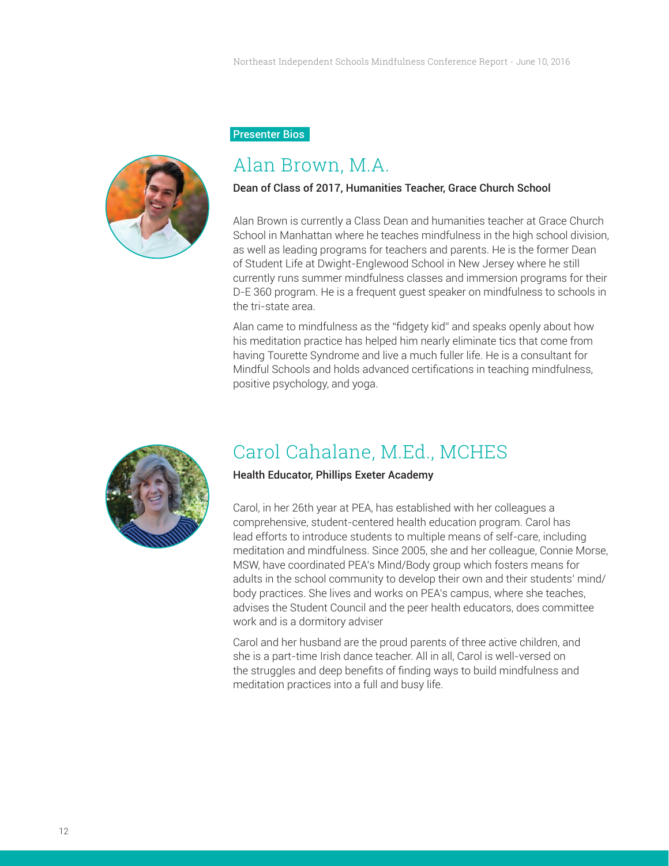<span id="page-11-0"></span>

#### Presenter Bios

### Alan Brown, M.A.

#### Dean of Class of 2017, Humanities Teacher, Grace Church School

Alan Brown is currently a Class Dean and humanities teacher at Grace Church School in Manhattan where he teaches mindfulness in the high school division, as well as leading programs for teachers and parents. He is the former Dean of Student Life at Dwight-Englewood School in New Jersey where he still currently runs summer mindfulness classes and immersion programs for their D-E 360 program. He is a frequent guest speaker on mindfulness to schools in the tri-state area.

Alan came to mindfulness as the "fidgety kid" and speaks openly about how his meditation practice has helped him nearly eliminate tics that come from having Tourette Syndrome and live a much fuller life. He is a consultant for Mindful Schools and holds advanced certifications in teaching mindfulness, positive psychology, and yoga.



## Carol Cahalane, M.Ed., MCHES

#### Health Educator, Phillips Exeter Academy

Carol, in her 26th year at PEA, has established with her colleagues a comprehensive, student-centered health education program. Carol has lead efforts to introduce students to multiple means of self-care, including meditation and mindfulness. Since 2005, she and her colleague, Connie Morse, MSW, have coordinated PEA's Mind/Body group which fosters means for adults in the school community to develop their own and their students' mind/ body practices. She lives and works on PEA's campus, where she teaches, advises the Student Council and the peer health educators, does committee work and is a dormitory adviser

Carol and her husband are the proud parents of three active children, and she is a part-time Irish dance teacher. All in all, Carol is well-versed on the struggles and deep benefits of finding ways to build mindfulness and meditation practices into a full and busy life.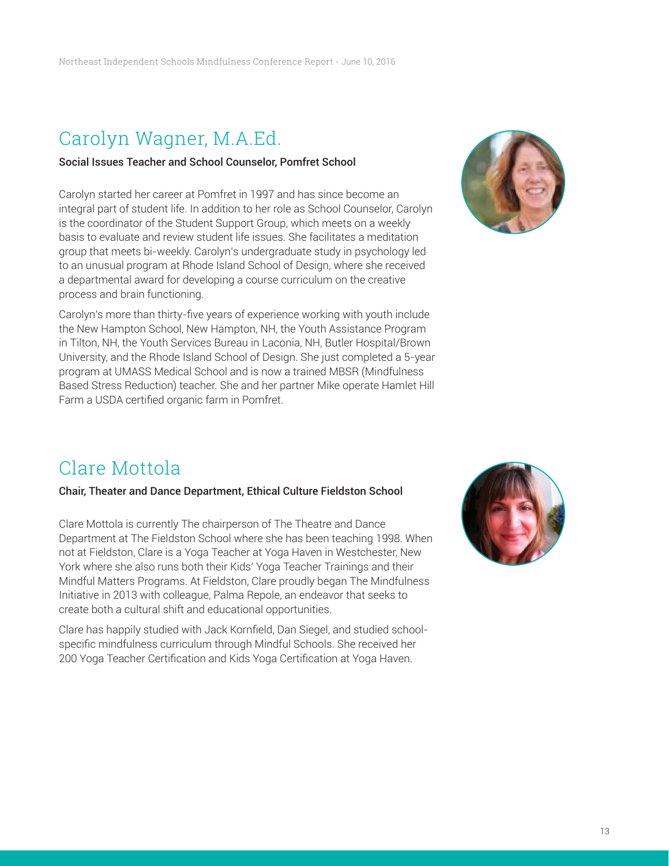## Carolyn Wagner, M.A.Ed.

### Social Issues Teacher and School Counselor, Pomfret School

Carolyn started her career at Pomfret in 1997 and has since become an integral part of student life. In addition to her role as School Counselor, Carolyn is the coordinator of the Student Support Group, which meets on a weekly basis to evaluate and review student life issues. She facilitates a meditation group that meets bi-weekly. Carolyn's undergraduate study in psychology led to an unusual program at Rhode Island School of Design, where she received a departmental award for developing a course curriculum on the creative process and brain functioning.

Carolyn's more than thirty-five years of experience working with youth include the New Hampton School, New Hampton, NH, the Youth Assistance Program in Tilton, NH, the Youth Services Bureau in Laconia, NH, Butler Hospital/Brown University, and the Rhode Island School of Design. She just completed a 5-year program at UMASS Medical School and is now a trained MBSR (Mindfulness Based Stress Reduction) teacher. She and her partner Mike operate Hamlet Hill Farm a USDA certified organic farm in Pomfret.



### Clare Mottola

#### Chair, Theater and Dance Department, Ethical Culture Fieldston School

Clare Mottola is currently The chairperson of The Theatre and Dance Department at The Fieldston School where she has been teaching 1998. When not at Fieldston, Clare is a Yoga Teacher at Yoga Haven in Westchester, New York where she also runs both their Kids' Yoga Teacher Trainings and their Mindful Matters Programs. At Fieldston, Clare proudly began The Mindfulness Initiative in 2013 with colleague, Palma Repole, an endeavor that seeks to create both a cultural shift and educational opportunities.

Clare has happily studied with Jack Kornfield, Dan Siegel, and studied schoolspecific mindfulness curriculum through Mindful Schools. She received her 200 Yoga Teacher Certification and Kids Yoga Certification at Yoga Haven.

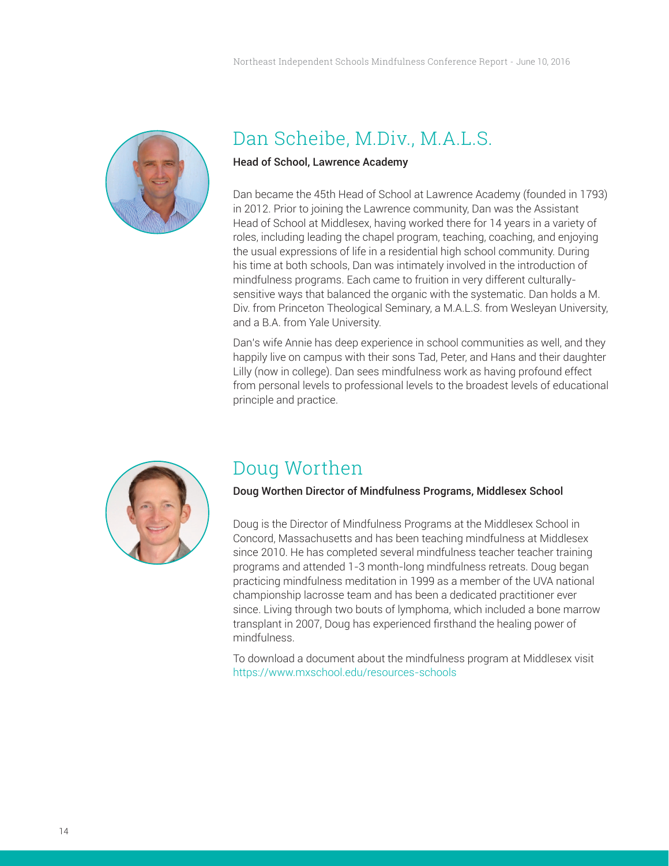

## Dan Scheibe, M.Div., M.A.L.S.

#### Head of School, Lawrence Academy

Dan became the 45th Head of School at Lawrence Academy (founded in 1793) in 2012. Prior to joining the Lawrence community, Dan was the Assistant Head of School at Middlesex, having worked there for 14 years in a variety of roles, including leading the chapel program, teaching, coaching, and enjoying the usual expressions of life in a residential high school community. During his time at both schools, Dan was intimately involved in the introduction of mindfulness programs. Each came to fruition in very different culturallysensitive ways that balanced the organic with the systematic. Dan holds a M. Div. from Princeton Theological Seminary, a M.A.L.S. from Wesleyan University, and a B.A. from Yale University.

Dan's wife Annie has deep experience in school communities as well, and they happily live on campus with their sons Tad, Peter, and Hans and their daughter Lilly (now in college). Dan sees mindfulness work as having profound effect from personal levels to professional levels to the broadest levels of educational principle and practice.



### Doug Worthen

#### Doug Worthen Director of Mindfulness Programs, Middlesex School

Doug is the Director of Mindfulness Programs at the Middlesex School in Concord, Massachusetts and has been teaching mindfulness at Middlesex since 2010. He has completed several mindfulness teacher teacher training programs and attended 1-3 month-long mindfulness retreats. Doug began practicing mindfulness meditation in 1999 as a member of the UVA national championship lacrosse team and has been a dedicated practitioner ever since. Living through two bouts of lymphoma, which included a bone marrow transplant in 2007, Doug has experienced firsthand the healing power of mindfulness.

To download a document about the mindfulness program at Middlesex visit <https://www.mxschool.edu/resources-schools>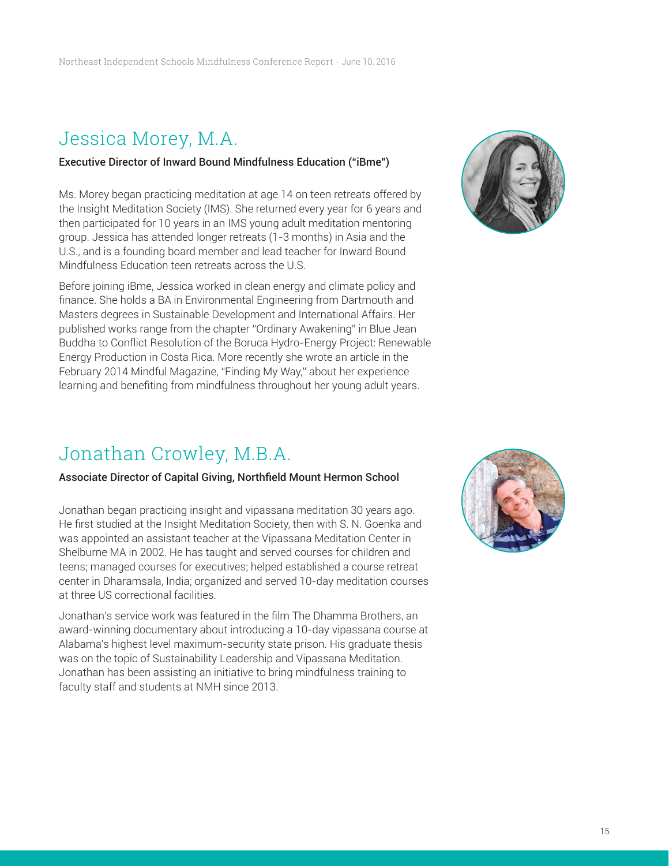## Jessica Morey, M.A.

#### Executive Director of Inward Bound Mindfulness Education ("iBme")

Ms. Morey began practicing meditation at age 14 on teen retreats offered by the Insight Meditation Society (IMS). She returned every year for 6 years and then participated for 10 years in an IMS young adult meditation mentoring group. Jessica has attended longer retreats (1-3 months) in Asia and the U.S., and is a founding board member and lead teacher for Inward Bound Mindfulness Education teen retreats across the U.S.

Before joining iBme, Jessica worked in clean energy and climate policy and finance. She holds a BA in Environmental Engineering from Dartmouth and Masters degrees in Sustainable Development and International Affairs. Her published works range from the chapter "Ordinary Awakening" in Blue Jean Buddha to Conflict Resolution of the Boruca Hydro-Energy Project: Renewable Energy Production in Costa Rica. More recently she wrote an article in the February 2014 Mindful Magazine, "Finding My Way," about her experience learning and benefiting from mindfulness throughout her young adult years.



### Jonathan Crowley, M.B.A.

#### Associate Director of Capital Giving, Northfield Mount Hermon School

Jonathan began practicing insight and vipassana meditation 30 years ago. He first studied at the Insight Meditation Society, then with S. N. Goenka and was appointed an assistant teacher at the Vipassana Meditation Center in Shelburne MA in 2002. He has taught and served courses for children and teens; managed courses for executives; helped established a course retreat center in Dharamsala, India; organized and served 10-day meditation courses at three US correctional facilities.

Jonathan's service work was featured in the film The Dhamma Brothers, an award-winning documentary about introducing a 10-day vipassana course at Alabama's highest level maximum-security state prison. His graduate thesis was on the topic of Sustainability Leadership and Vipassana Meditation. Jonathan has been assisting an initiative to bring mindfulness training to faculty staff and students at NMH since 2013.

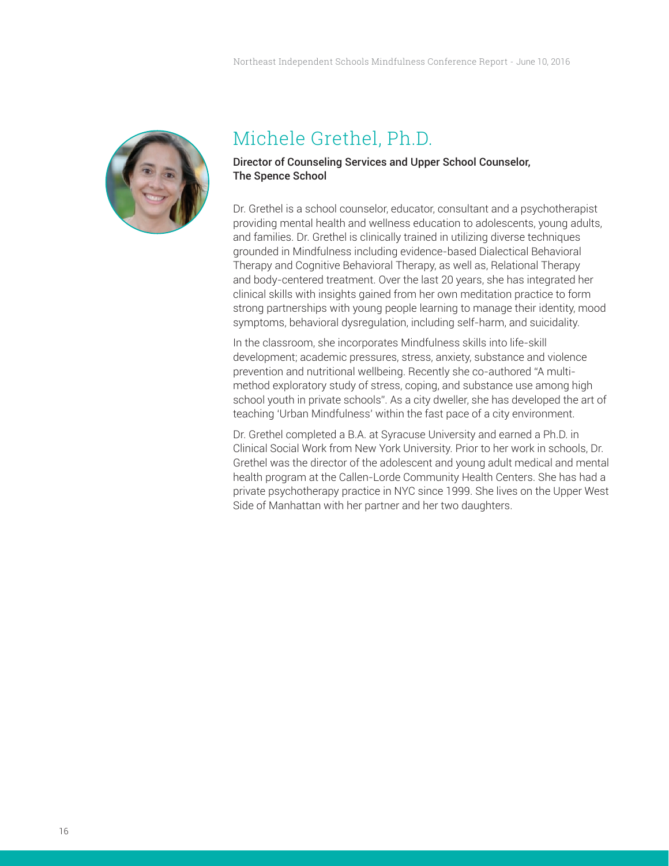

## Michele Grethel, Ph.D.

#### Director of Counseling Services and Upper School Counselor, The Spence School

Dr. Grethel is a school counselor, educator, consultant and a psychotherapist providing mental health and wellness education to adolescents, young adults, and families. Dr. Grethel is clinically trained in utilizing diverse techniques grounded in Mindfulness including evidence-based Dialectical Behavioral Therapy and Cognitive Behavioral Therapy, as well as, Relational Therapy and body-centered treatment. Over the last 20 years, she has integrated her clinical skills with insights gained from her own meditation practice to form strong partnerships with young people learning to manage their identity, mood symptoms, behavioral dysregulation, including self-harm, and suicidality.

In the classroom, she incorporates Mindfulness skills into life-skill development; academic pressures, stress, anxiety, substance and violence prevention and nutritional wellbeing. Recently she co-authored "A multimethod exploratory study of stress, coping, and substance use among high school youth in private schools". As a city dweller, she has developed the art of teaching 'Urban Mindfulness' within the fast pace of a city environment.

Dr. Grethel completed a B.A. at Syracuse University and earned a Ph.D. in Clinical Social Work from New York University. Prior to her work in schools, Dr. Grethel was the director of the adolescent and young adult medical and mental health program at the Callen-Lorde Community Health Centers. She has had a private psychotherapy practice in NYC since 1999. She lives on the Upper West Side of Manhattan with her partner and her two daughters.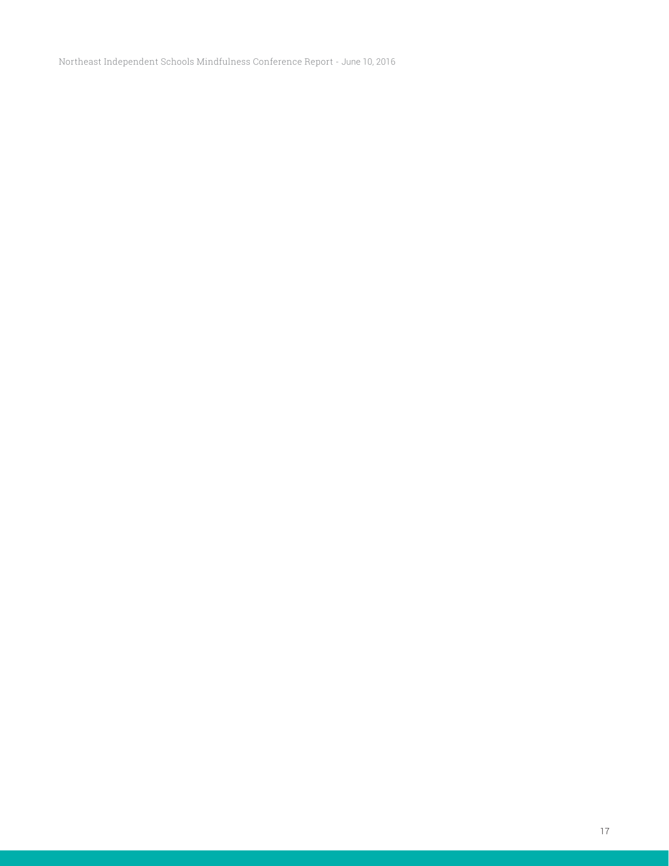Northeast Independent Schools Mindfulness Conference Report - June 10, 2016